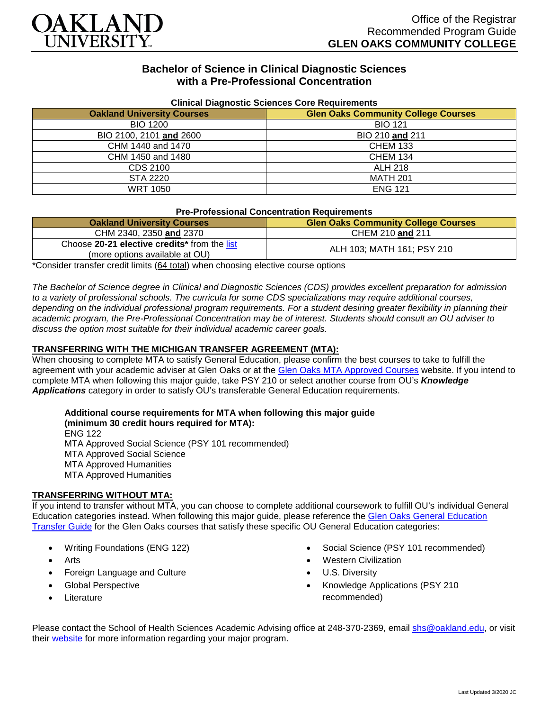

# **Bachelor of Science in Clinical Diagnostic Sciences with a Pre-Professional Concentration**

| Cilincal Diagnostic Sciences Core Requirements |                                            |
|------------------------------------------------|--------------------------------------------|
| <b>Oakland University Courses</b>              | <b>Glen Oaks Community College Courses</b> |
| <b>BIO 1200</b>                                | <b>BIO 121</b>                             |
| BIO 2100, 2101 and 2600                        | BIO 210 and 211                            |
| CHM 1440 and 1470                              | <b>CHEM 133</b>                            |
| CHM 1450 and 1480                              | <b>CHEM 134</b>                            |
| CDS 2100                                       | <b>ALH 218</b>                             |
| STA 2220                                       | <b>MATH 201</b>                            |
| <b>WRT 1050</b>                                | <b>ENG 121</b>                             |

### **Clinical Diagnostic Sciences Core Requirements**

#### **Pre-Professional Concentration Requirements**

| <b>Oakland University Courses</b>            | <b>Glen Oaks Community College Courses</b> |
|----------------------------------------------|--------------------------------------------|
| CHM 2340, 2350 and 2370                      | CHEM 210 and 211                           |
| Choose 20-21 elective credits* from the list | ALH 103; MATH 161; PSY 210                 |
| (more options available at OU)               |                                            |

\*Consider transfer credit limits (64 total) when choosing elective course options

*The Bachelor of Science degree in Clinical and Diagnostic Sciences (CDS) provides excellent preparation for admission*  to a variety of professional schools. The curricula for some CDS specializations may require additional courses, depending on the individual professional program requirements. For a student desiring greater flexibility in planning their *academic program, the Pre-Professional Concentration may be of interest. Students should consult an OU adviser to discuss the option most suitable for their individual academic career goals.*

### **TRANSFERRING WITH THE MICHIGAN TRANSFER AGREEMENT (MTA):**

When choosing to complete MTA to satisfy General Education, please confirm the best courses to take to fulfill the agreement with your academic adviser at Glen Oaks or at the [Glen Oaks MTA Approved Courses](https://www.glenoaks.edu/current-students/registration-records/#MTA) website. If you intend to complete MTA when following this major guide, take PSY 210 or select another course from OU's *Knowledge Applications* category in order to satisfy OU's transferable General Education requirements.

# **Additional course requirements for MTA when following this major guide**

**(minimum 30 credit hours required for MTA):** ENG 122 MTA Approved Social Science (PSY 101 recommended) MTA Approved Social Science MTA Approved Humanities MTA Approved Humanities

#### **TRANSFERRING WITHOUT MTA:**

If you intend to transfer without MTA, you can choose to complete additional coursework to fulfill OU's individual General Education categories instead. When following this major guide, please reference the [Glen Oaks General Education](https://www.oakland.edu/Assets/Oakland/program-guides/glen-oaks-community-college/university-general-education-requirements/Glen%20Oaks%20Gen%20Ed.pdf)  [Transfer Guide](https://www.oakland.edu/Assets/Oakland/program-guides/glen-oaks-community-college/university-general-education-requirements/Glen%20Oaks%20Gen%20Ed.pdf) for the Glen Oaks courses that satisfy these specific OU General Education categories:

- Writing Foundations (ENG 122)
- Arts
- Foreign Language and Culture
- Global Perspective
- **Literature**
- Social Science (PSY 101 recommended)
- Western Civilization
- U.S. Diversity
- Knowledge Applications (PSY 210 recommended)

Please contact the School of Health Sciences Academic Advising office at 248-370-2369, email [shs@oakland.edu,](mailto:shs@oakland.edu) or visit their [website](http://www.oakland.edu/shs/advising) for more information regarding your major program.